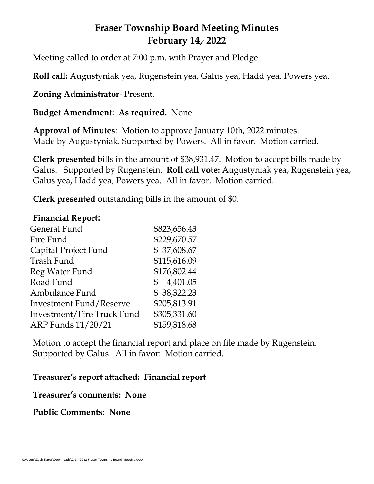# **Fraser Township Board Meeting Minutes February 14, , 2022**

Meeting called to order at 7:00 p.m. with Prayer and Pledge

**Roll call:** Augustyniak yea, Rugenstein yea, Galus yea, Hadd yea, Powers yea.

**Zoning Administrator**- Present.

## **Budget Amendment: As required.** None

**Approval of Minutes**: Motion to approve January 10th, 2022 minutes. Made by Augustyniak. Supported by Powers. All in favor. Motion carried.

**Clerk presented** bills in the amount of \$38,931.47. Motion to accept bills made by Galus. Supported by Rugenstein. **Roll call vote:** Augustyniak yea, Rugenstein yea, Galus yea, Hadd yea, Powers yea. All in favor. Motion carried.

**Clerk presented** outstanding bills in the amount of \$0.

#### **Financial Report:**

| General Fund               | \$823,656.43               |
|----------------------------|----------------------------|
| Fire Fund                  | \$229,670.57               |
| Capital Project Fund       | \$37,608.67                |
| Trash Fund                 | \$115,616.09               |
| Reg Water Fund             | \$176,802.44               |
| Road Fund                  | 4,401.05<br>$\mathbb{S}^-$ |
| Ambulance Fund             | \$38,322.23                |
| Investment Fund/Reserve    | \$205,813.91               |
| Investment/Fire Truck Fund | \$305,331.60               |
| ARP Funds 11/20/21         | \$159,318.68               |

Motion to accept the financial report and place on file made by Rugenstein. Supported by Galus. All in favor: Motion carried.

### **Treasurer's report attached: Financial report**

#### **Treasurer's comments: None**

### **Public Comments: None**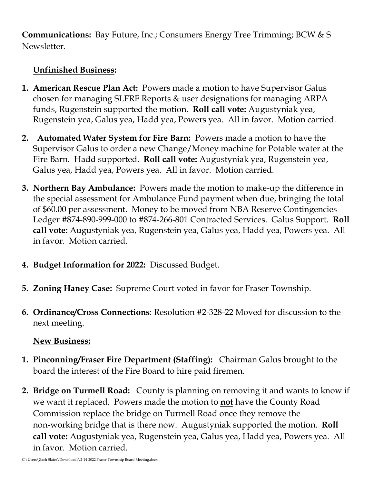**Communications:** Bay Future, Inc.; Consumers Energy Tree Trimming; BCW & S Newsletter.

## **Unfinished Business:**

- **1. American Rescue Plan Act:** Powers made a motion to have Supervisor Galus chosen for managing SLFRF Reports & user designations for managing ARPA funds, Rugenstein supported the motion. **Roll call vote:** Augustyniak yea, Rugenstein yea, Galus yea, Hadd yea, Powers yea. All in favor. Motion carried.
- **2. Automated Water System for Fire Barn:** Powers made a motion to have the Supervisor Galus to order a new Change/Money machine for Potable water at the Fire Barn. Hadd supported. **Roll call vote:** Augustyniak yea, Rugenstein yea, Galus yea, Hadd yea, Powers yea. All in favor. Motion carried.
- **3. Northern Bay Ambulance:** Powers made the motion to make-up the difference in the special assessment for Ambulance Fund payment when due, bringing the total of \$60.00 per assessment. Money to be moved from NBA Reserve Contingencies Ledger #874-890-999-000 to #874-266-801 Contracted Services. Galus Support. **Roll call vote:** Augustyniak yea, Rugenstein yea, Galus yea, Hadd yea, Powers yea. All in favor. Motion carried.
- **4. Budget Information for 2022:** Discussed Budget.
- **5. Zoning Haney Case:** Supreme Court voted in favor for Fraser Township.
- **6. Ordinance/Cross Connections**: Resolution #2-328-22 Moved for discussion to the next meeting.

## **New Business:**

- **1. Pinconning/Fraser Fire Department (Staffing):** Chairman Galus brought to the board the interest of the Fire Board to hire paid firemen.
- **2. Bridge on Turmell Road:** County is planning on removing it and wants to know if we want it replaced. Powers made the motion to **not** have the County Road Commission replace the bridge on Turmell Road once they remove the non-working bridge that is there now. Augustyniak supported the motion. **Roll call vote:** Augustyniak yea, Rugenstein yea, Galus yea, Hadd yea, Powers yea. All in favor. Motion carried.